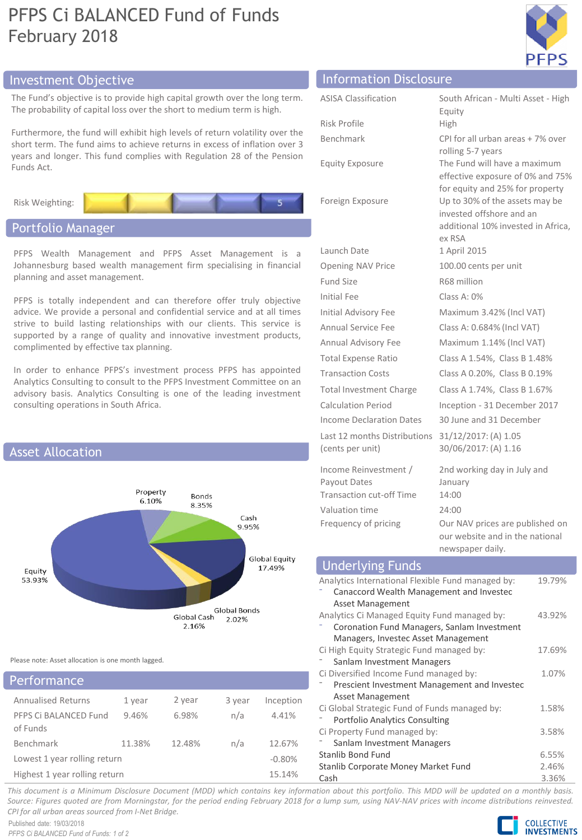# PFPS Ci BALANCED Fund of Funds February 2018



The Fund's objective is to provide high capital growth over the long term. The probability of capital loss over the short to medium term is high.

Furthermore, the fund will exhibit high levels of return volatility over the short term. The fund aims to achieve returns in excess of inflation over 3 years and longer. This fund complies with Regulation 28 of the Pension Funds Act.



# Portfolio Manager

PFPS Wealth Management and PFPS Asset Management is a Johannesburg based wealth management firm specialising in financial planning and asset management.

PFPS is totally independent and can therefore offer truly objective advice. We provide a personal and confidential service and at all times strive to build lasting relationships with our clients. This service is supported by a range of quality and innovative investment products, complimented by effective tax planning.

In order to enhance PFPS's investment process PFPS has appointed Analytics Consulting to consult to the PFPS Investment Committee on an advisory basis. Analytics Consulting is one of the leading investment consulting operations in South Africa.



Please note: Asset allocation is one month lagged.

| Performance                       |        |        |        |           |
|-----------------------------------|--------|--------|--------|-----------|
| <b>Annualised Returns</b>         | 1 year | 2 year | 3 year | Inception |
| PFPS Ci BALANCED Fund<br>of Funds | 9.46%  | 6.98%  | n/a    | 4.41%     |
| Benchmark                         | 11.38% | 12.48% | n/a    | 12.67%    |
| Lowest 1 year rolling return      |        |        |        | $-0.80%$  |
| Highest 1 year rolling return     |        |        |        | 15.14%    |

# Investment Objective Information Disclosure

| <b>ASISA Classification</b>                                              | South African - Multi Asset - High<br>Equity                                                               |  |  |
|--------------------------------------------------------------------------|------------------------------------------------------------------------------------------------------------|--|--|
| Risk Profile                                                             | High                                                                                                       |  |  |
| Benchmark                                                                | CPI for all urban areas + 7% over<br>rolling 5-7 years                                                     |  |  |
| <b>Equity Exposure</b>                                                   | The Fund will have a maximum<br>effective exposure of 0% and 75%<br>for equity and 25% for property        |  |  |
| Foreign Exposure                                                         | Up to 30% of the assets may be<br>invested offshore and an<br>additional 10% invested in Africa,<br>ex RSA |  |  |
| Launch Date                                                              | 1 April 2015                                                                                               |  |  |
| <b>Opening NAV Price</b>                                                 | 100.00 cents per unit                                                                                      |  |  |
| <b>Fund Size</b>                                                         | R68 million                                                                                                |  |  |
| Initial Fee                                                              | Class A: 0%                                                                                                |  |  |
| <b>Initial Advisory Fee</b>                                              | Maximum 3.42% (Incl VAT)                                                                                   |  |  |
| <b>Annual Service Fee</b>                                                | Class A: 0.684% (Incl VAT)                                                                                 |  |  |
| <b>Annual Advisory Fee</b>                                               | Maximum 1.14% (Incl VAT)                                                                                   |  |  |
| <b>Total Expense Ratio</b>                                               | Class A 1.54%, Class B 1.48%                                                                               |  |  |
| <b>Transaction Costs</b>                                                 | Class A 0.20%, Class B 0.19%                                                                               |  |  |
| <b>Total Investment Charge</b>                                           | Class A 1.74%, Class B 1.67%                                                                               |  |  |
| <b>Calculation Period</b>                                                | Inception - 31 December 2017                                                                               |  |  |
| <b>Income Declaration Dates</b>                                          | 30 June and 31 December                                                                                    |  |  |
| Last 12 months Distributions<br>(cents per unit)                         | 31/12/2017: (A) 1.05<br>30/06/2017: (A) 1.16                                                               |  |  |
| Income Reinvestment /<br>Payout Dates<br><b>Transaction cut-off Time</b> | 2nd working day in July and<br>January<br>14:00                                                            |  |  |
| Valuation time                                                           | 24:00                                                                                                      |  |  |
| Frequency of pricing                                                     | Our NAV prices are published on<br>our website and in the national<br>newspaper daily.                     |  |  |

# Underlying Funds

| Analytics International Flexible Fund managed by: | 19.79% |
|---------------------------------------------------|--------|
| Canaccord Wealth Management and Invested          |        |
| Asset Management                                  |        |
| Analytics Ci Managed Equity Fund managed by:      | 43.92% |
| Coronation Fund Managers, Sanlam Investment       |        |
| Managers, Investec Asset Management               |        |
| Ci High Equity Strategic Fund managed by:         | 17.69% |
| Sanlam Investment Managers                        |        |
| Ci Diversified Income Fund managed by:            | 1.07%  |
| Prescient Investment Management and Investec      |        |
| Asset Management                                  |        |
| Ci Global Strategic Fund of Funds managed by:     | 1.58%  |
| <b>Portfolio Analytics Consulting</b>             |        |
| Ci Property Fund managed by:                      | 3.58%  |
| Sanlam Investment Managers                        |        |
| <b>Stanlib Bond Fund</b>                          | 6.55%  |
| Stanlib Corporate Money Market Fund               |        |
| Cash                                              | 3.36%  |

This document is a Minimum Disclosure Document (MDD) which contains key information about this portfolio. This MDD will be updated on a monthly basis. Source: Figures quoted are from Morningstar, for the period ending February 2018 for a lump sum, using NAV-NAV prices with income distributions reinvested. *CPI for all urban areas sourced from I-Net Bridge.*

Published date: 19/03/2018 *PFPS Ci BALANCED Fund of Funds: 1 of 2*